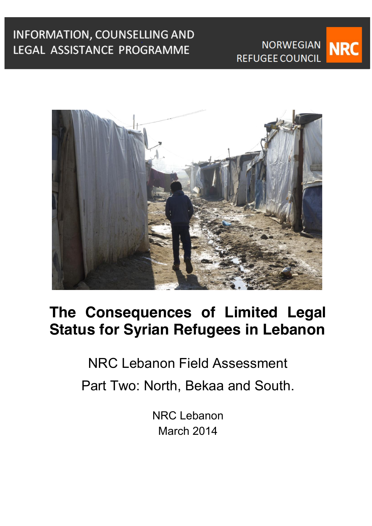

NRC Lebanon Field Assessment Part Two: North, Bekaa and South.

> NRC Lebanon March 2014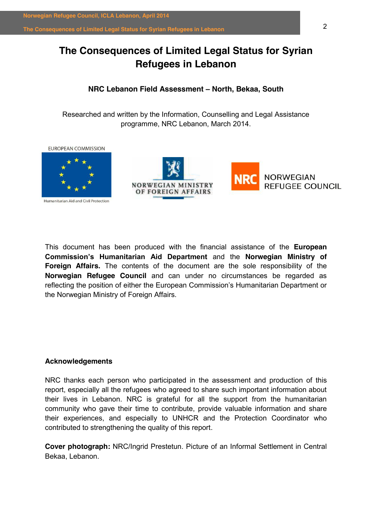## **The Consequences of Limited Legal Status for Syrian Refugees in Lebanon**

## **NRC Lebanon Field Assessment ± North, Bekaa, South**

Researched and written by the Information, Counselling and Legal Assistance programme, NRC Lebanon, March 2014.

**FUROPEAN COMMISSION** 



Humanitarian Aid and Civil Protection





This document has been produced with the financial assistance of the **European Commission's Humanitarian Aid Department and the Norwegian Ministry of Foreign Affairs.** The contents of the document are the sole responsibility of the **Norwegian Refugee Council** and can under no circumstances be regarded as reflecting the position of either the European Commission's Humanitarian Department or the Norwegian Ministry of Foreign Affairs.

## **Acknowledgements**

NRC thanks each person who participated in the assessment and production of this report, especially all the refugees who agreed to share such important information about their lives in Lebanon. NRC is grateful for all the support from the humanitarian community who gave their time to contribute, provide valuable information and share their experiences, and especially to UNHCR and the Protection Coordinator who contributed to strengthening the quality of this report.

**Cover photograph:** NRC/Ingrid Prestetun. Picture of an Informal Settlement in Central Bekaa, Lebanon.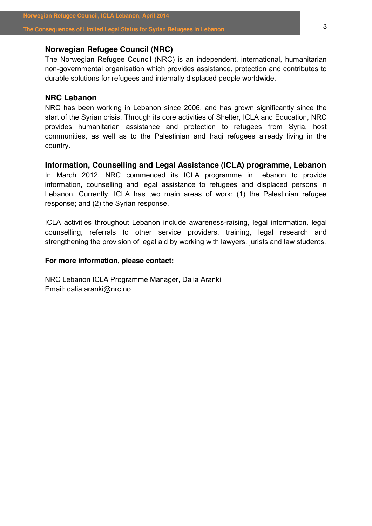## **Norwegian Refugee Council (NRC)**

The Norwegian Refugee Council (NRC) is an independent, international, humanitarian non-governmental organisation which provides assistance, protection and contributes to durable solutions for refugees and internally displaced people worldwide.

## **NRC Lebanon**

NRC has been working in Lebanon since 2006, and has grown significantly since the start of the Syrian crisis. Through its core activities of Shelter, ICLA and Education, NRC provides humanitarian assistance and protection to refugees from Syria, host communities, as well as to the Palestinian and Iraqi refugees already living in the country.

**Information, Counselling and Legal Assistance (ICLA) programme, Lebanon**  In March 2012, NRC commenced its ICLA programme in Lebanon to provide information, counselling and legal assistance to refugees and displaced persons in Lebanon. Currently, ICLA has two main areas of work: (1) the Palestinian refugee

response; and (2) the Syrian response.

ICLA activities throughout Lebanon include awareness-raising, legal information, legal counselling, referrals to other service providers, training, legal research and strengthening the provision of legal aid by working with lawyers, jurists and law students.

## **For more information, please contact:**

NRC Lebanon ICLA Programme Manager, Dalia Aranki Email: dalia.aranki@nrc.no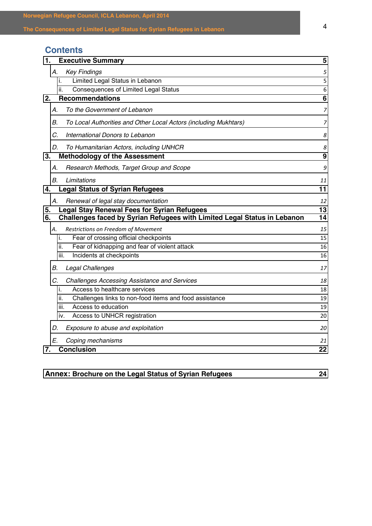| Norwegian Refugee Council, ICLA Lebanon, April 2014<br>The Consequences of Limited Legal Status for Syrian Refugees in Lebanon                                                          | 4              |
|-----------------------------------------------------------------------------------------------------------------------------------------------------------------------------------------|----------------|
| <b>Contents</b>                                                                                                                                                                         |                |
| <b>Executive Summary</b><br>1.                                                                                                                                                          | 5              |
| <b>Key Findings</b><br>А.                                                                                                                                                               | 5              |
| Limited Legal Status in Lebanon<br>İ.                                                                                                                                                   | 5              |
| <b>Consequences of Limited Legal Status</b><br>ii.<br><b>Recommendations</b><br>2.                                                                                                      | 6<br>6         |
| To the Government of Lebanon<br>А.                                                                                                                                                      | 7              |
| В.<br>To Local Authorities and Other Local Actors (including Mukhtars)                                                                                                                  | 7              |
| C.<br>International Donors to Lebanon                                                                                                                                                   | 8              |
| D.<br>To Humanitarian Actors, including UNHCR                                                                                                                                           | 8              |
| <b>Methodology of the Assessment</b><br>3.                                                                                                                                              | 9              |
| Research Methods, Target Group and Scope<br>А.                                                                                                                                          | 9              |
| В.<br>Limitations                                                                                                                                                                       | 11             |
| <b>Legal Status of Syrian Refugees</b><br>4.                                                                                                                                            | 11             |
| Renewal of legal stay documentation<br>А.<br><b>Legal Stay Renewal Fees for Syrian Refugees</b><br>5.<br>Challenges faced by Syrian Refugees with Limited Legal Status in Lebanon<br>6. | 12<br>13<br>14 |
| Restrictions on Freedom of Movement<br>А.                                                                                                                                               | 15             |
| Fear of crossing official checkpoints<br>i.                                                                                                                                             | 15             |
| Fear of kidnapping and fear of violent attack<br>ii.                                                                                                                                    | 16             |
| Incidents at checkpoints<br>III.                                                                                                                                                        | 16             |
| В.<br>Legal Challenges                                                                                                                                                                  | 17             |
| C.<br><b>Challenges Accessing Assistance and Services</b>                                                                                                                               | 18             |
| Access to healthcare services<br>L.                                                                                                                                                     | 18             |
| Challenges links to non-food items and food assistance<br>ii.<br>Access to education<br>iii.                                                                                            | 19<br>19       |
| Access to UNHCR registration<br>iv.                                                                                                                                                     | 20             |
| Exposure to abuse and exploitation<br>D.                                                                                                                                                | 20             |
| E.<br>Coping mechanisms                                                                                                                                                                 | 21             |
| <b>Conclusion</b><br>7.                                                                                                                                                                 | 22             |
|                                                                                                                                                                                         |                |
| Annex: Brochure on the Legal Status of Syrian Refugees                                                                                                                                  | 24             |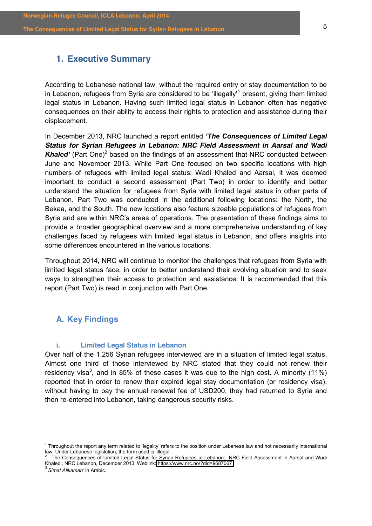## <span id="page-4-0"></span>**1. Executive Summary**

According to Lebanese national law, without the required entry or stay documentation to be in Lebanon, refugees from Syria are considered to be 'illegally'<sup>1</sup> present, giving them limited legal status in Lebanon. Having such limited legal status in Lebanon often has negative consequences on their ability to access their rights to protection and assistance during their displacement.

In December 2013, NRC launched a report entitled 'The Consequences of Limited Legal *Status for Syrian Refugees in Lebanon: NRC Field Assessment in Aarsal and Wadi*  **Khaled'** (Part One)<sup>2</sup> based on the findings of an assessment that NRC conducted between June and November 2013. While Part One focused on two specific locations with high numbers of refugees with limited legal status: Wadi Khaled and Aarsal, it was deemed important to conduct a second assessment (Part Two) in order to identify and better understand the situation for refugees from Syria with limited legal status in other parts of Lebanon. Part Two was conducted in the additional following locations: the North, the Bekaa, and the South. The new locations also feature sizeable populations of refugees from Syria and are within NRC's areas of operations. The presentation of these findings aims to provide a broader geographical overview and a more comprehensive understanding of key challenges faced by refugees with limited legal status in Lebanon, and offers insights into some differences encountered in the various locations.

Throughout 2014, NRC will continue to monitor the challenges that refugees from Syria with limited legal status face, in order to better understand their evolving situation and to seek ways to strengthen their access to protection and assistance. It is recommended that this report (Part Two) is read in conjunction with Part One.

## <span id="page-4-1"></span>**A. Key Findings**

## <span id="page-4-2"></span>**i. Limited Legal Status in Lebanon**

Over half of the 1,256 Syrian refugees interviewed are in a situation of limited legal status. Almost one third of those interviewed by NRC stated that they could not renew their residency visa<sup>3</sup>, and in 85% of these cases it was due to the high cost. A minority (11%) reported that in order to renew their expired legal stay documentation (or residency visa), without having to pay the annual renewal fee of USD200, they had returned to Syria and then re-entered into Lebanon, taking dangerous security risks.

 $1$  Throughout the report any term related to 'legality' refers to the position under Lebanese law and not necessarily international Iaw. Under Lebanese legislation, the term used is 'illegal'.

<sup>&#</sup>x27;The Consequences of Limited Legal Status for Syrian Refugees in Lebanon: NRC Field Assessment in Aarsal and Wadi Khaled', NRC Lebanon, December 2013. Weblink: <https://www.nrc.no/?did=9687067>

<sup>&</sup>lt;sup>3</sup>'Simat Alikamah' in Arabic.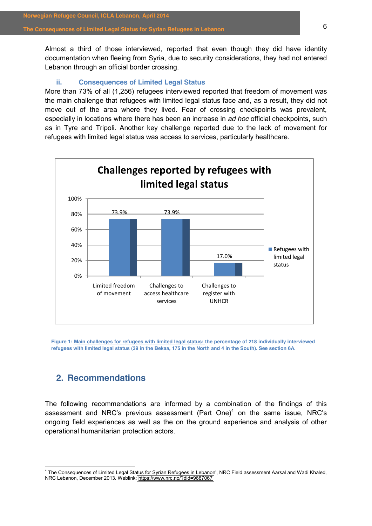Almost a third of those interviewed, reported that even though they did have identity documentation when fleeing from Syria, due to security considerations, they had not entered Lebanon through an official border crossing.

## **ii. Consequences of Limited Legal Status**

<span id="page-5-0"></span>More than 73% of all (1,256) refugees interviewed reported that freedom of movement was the main challenge that refugees with limited legal status face and, as a result, they did not move out of the area where they lived. Fear of crossing checkpoints was prevalent, especially in locations where there has been an increase in *ad hoc* official checkpoints, such as in Tyre and Tripoli. Another key challenge reported due to the lack of movement for refugees with limited legal status was access to services, particularly healthcare.



**Figure 1: Main challenges for refugees with limited legal status: the percentage of 218 individually interviewed refugees with limited legal status (39 in the Bekaa, 175 in the North and 4 in the South). See section 6A.** 

## <span id="page-5-1"></span>**2. Recommendations**

The following recommendations are informed by a combination of the findings of this assessment and NRC's previous assessment (Part One)<sup>4</sup> on the same issue, NRC's ongoing field experiences as well as the on the ground experience and analysis of other operational humanitarian protection actors.

<sup>&</sup>lt;sup>4</sup> The Consequences of Limited Legal Status for Syrian Refugees in Lebanon', NRC Field assessment Aarsal and Wadi Khaled, NRC Lebanon, December 2013. Weblink[: https://www.nrc.no/?did=9687067](https://www.nrc.no/?did=9687067)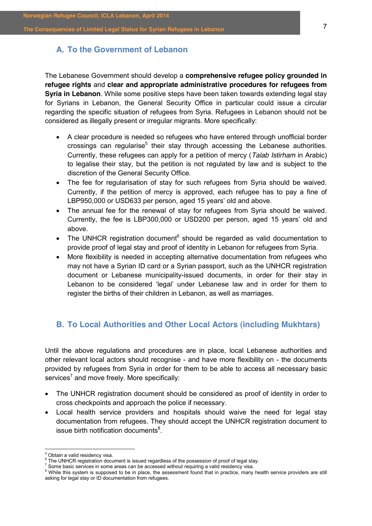## <span id="page-6-0"></span>**A. To the Government of Lebanon**

The Lebanese Government should develop a **comprehensive refugee policy grounded in refugee rights** and **clear and appropriate administrative procedures for refugees from Syria in Lebanon**. While some positive steps have been taken towards extending legal stay for Syrians in Lebanon, the General Security Office in particular could issue a circular regarding the specific situation of refugees from Syria. Refugees in Lebanon should not be considered as illegally present or irregular migrants. More specifically:

- A clear procedure is needed so refugees who have entered through unofficial border crossings can regularise<sup>5</sup> their stay through accessing the Lebanese authorities. Currently, these refugees can apply for a petition of mercy (*Talab Istirham* in Arabic) to legalise their stay, but the petition is not regulated by law and is subject to the discretion of the General Security Office.
- The fee for regularisation of stay for such refugees from Syria should be waived. Currently, if the petition of mercy is approved, each refugee has to pay a fine of LBP950,000 or USD633 per person, aged 15 years' old and above.
- The annual fee for the renewal of stay for refugees from Syria should be waived. Currently, the fee is LBP300,000 or USD200 per person, aged 15 years' old and above.
- The UNHCR registration document $6$  should be regarded as valid documentation to provide proof of legal stay and proof of identity in Lebanon for refugees from Syria.
- More flexibility is needed in accepting alternative documentation from refugees who may not have a Syrian ID card or a Syrian passport, such as the UNHCR registration document or Lebanese municipality-issued documents, in order for their stay in Lebanon to be considered 'legal' under Lebanese law and in order for them to register the births of their children in Lebanon, as well as marriages.

## <span id="page-6-1"></span>**B. To Local Authorities and Other Local Actors (including Mukhtars)**

Until the above regulations and procedures are in place, local Lebanese authorities and other relevant local actors should recognise - and have more flexibility on - the documents provided by refugees from Syria in order for them to be able to access all necessary basic  $s$ ervices<sup>7</sup> and move freely. More specifically:

- The UNHCR registration document should be considered as proof of identity in order to cross checkpoints and approach the police if necessary.
- Local health service providers and hospitals should waive the need for legal stay documentation from refugees. They should accept the UNHCR registration document to issue birth notification documents $8$ .

 $<sup>5</sup>$  Obtain a valid residency visa.<br> $<sup>6</sup>$  The UNHCR registration document is issued regardless of the possession of proof of legal stay.</sup></sup>

<sup>&</sup>lt;sup>7</sup> Some basic services in some areas can be accessed without requiring a valid residency visa. <sup>8</sup> While this system is supposed to be in place, the assessment found that in practice, many health service providers are st asking for legal stay or ID documentation from refugees.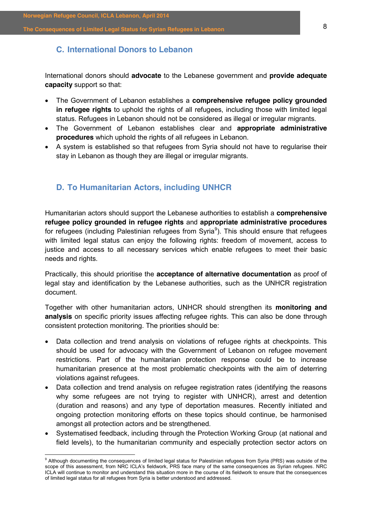## <span id="page-7-0"></span>**C. International Donors to Lebanon**

International donors should **advocate** to the Lebanese government and **provide adequate capacity** support so that:

- The Government of Lebanon establishes a **comprehensive refugee policy grounded in refugee rights** to uphold the rights of all refugees, including those with limited legal status. Refugees in Lebanon should not be considered as illegal or irregular migrants.
- x The Government of Lebanon establishes clear and **appropriate administrative procedures** which uphold the rights of all refugees in Lebanon.
- A system is established so that refugees from Syria should not have to regularise their stay in Lebanon as though they are illegal or irregular migrants.

## <span id="page-7-1"></span>**D. To Humanitarian Actors, including UNHCR**

Humanitarian actors should support the Lebanese authorities to establish a **comprehensive refugee policy grounded in refugee rights** and **appropriate administrative procedures**  for refugees (including Palestinian refugees from Syria<sup>9</sup>). This should ensure that refugees with limited legal status can enjoy the following rights: freedom of movement, access to justice and access to all necessary services which enable refugees to meet their basic needs and rights.

Practically, this should prioritise the **acceptance of alternative documentation** as proof of legal stay and identification by the Lebanese authorities, such as the UNHCR registration document.

Together with other humanitarian actors, UNHCR should strengthen its **monitoring and analysis** on specific priority issues affecting refugee rights. This can also be done through consistent protection monitoring. The priorities should be:

- Data collection and trend analysis on violations of refugee rights at checkpoints. This should be used for advocacy with the Government of Lebanon on refugee movement restrictions. Part of the humanitarian protection response could be to increase humanitarian presence at the most problematic checkpoints with the aim of deterring violations against refugees.
- Data collection and trend analysis on refugee registration rates (identifying the reasons why some refugees are not trying to register with UNHCR), arrest and detention (duration and reasons) and any type of deportation measures. Recently initiated and ongoing protection monitoring efforts on these topics should continue, be harmonised amongst all protection actors and be strengthened.
- Systematised feedback, including through the Protection Working Group (at national and field levels), to the humanitarian community and especially protection sector actors on

<sup>&</sup>lt;sup>9</sup> Although documenting the consequences of limited legal status for Palestinian refugees from Syria (PRS) was outside of the scope of this assessment, from NRC ICLA's fieldwork, PRS face many of the same consequences as Syrian refugees. NRC ICLA will continue to monitor and understand this situation more in the course of its fieldwork to ensure that the consequences of limited legal status for all refugees from Syria is better understood and addressed.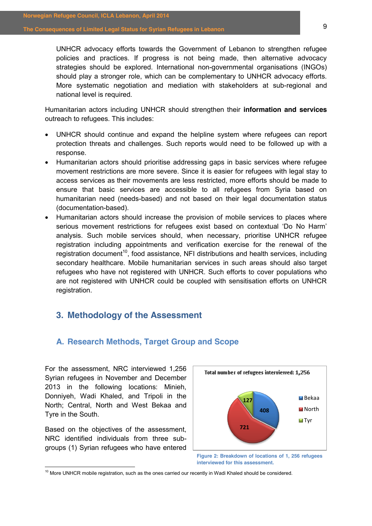UNHCR advocacy efforts towards the Government of Lebanon to strengthen refugee policies and practices. If progress is not being made, then alternative advocacy strategies should be explored. International non-governmental organisations (INGOs) should play a stronger role, which can be complementary to UNHCR advocacy efforts. More systematic negotiation and mediation with stakeholders at sub-regional and national level is required.

Humanitarian actors including UNHCR should strengthen their **information and services**  outreach to refugees. This includes:

- UNHCR should continue and expand the helpline system where refugees can report protection threats and challenges. Such reports would need to be followed up with a response.
- Humanitarian actors should prioritise addressing gaps in basic services where refugee movement restrictions are more severe. Since it is easier for refugees with legal stay to access services as their movements are less restricted, more efforts should be made to ensure that basic services are accessible to all refugees from Syria based on humanitarian need (needs-based) and not based on their legal documentation status (documentation-based).
- Humanitarian actors should increase the provision of mobile services to places where serious movement restrictions for refugees exist based on contextual 'Do No Harm' analysis. Such mobile services should, when necessary, prioritise UNHCR refugee registration including appointments and verification exercise for the renewal of the registration document<sup>10</sup>, food assistance, NFI distributions and health services, including secondary healthcare. Mobile humanitarian services in such areas should also target refugees who have not registered with UNHCR. Such efforts to cover populations who are not registered with UNHCR could be coupled with sensitisation efforts on UNHCR registration.

## <span id="page-8-0"></span>**3. Methodology of the Assessment**

## <span id="page-8-1"></span>**A. Research Methods, Target Group and Scope**

For the assessment, NRC interviewed 1,256 Syrian refugees in November and December 2013 in the following locations: Minieh, Donniyeh, Wadi Khaled, and Tripoli in the North; Central, North and West Bekaa and Tyre in the South.

Based on the objectives of the assessment, NRC identified individuals from three subgroups (1) Syrian refugees who have entered



**Figure 2: Breakdown of locations of 1, 256 refugees interviewed for this assessment.**

 $10$  More UNHCR mobile registration, such as the ones carried our recently in Wadi Khaled should be considered.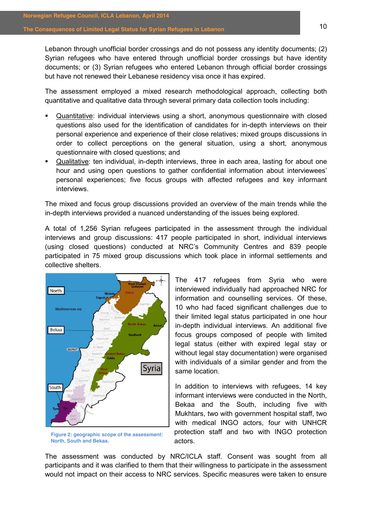Lebanon through unofficial border crossings and do not possess any identity documents; (2) Syrian refugees who have entered through unofficial border crossings but have identity documents; or (3) Syrian refugees who entered Lebanon through official border crossings but have not renewed their Lebanese residency visa once it has expired.

The assessment employed a mixed research methodological approach, collecting both quantitative and qualitative data through several primary data collection tools including:

- Quantitative: individual interviews using a short, anonymous questionnaire with closed questions also used for the identification of candidates for in-depth interviews on their personal experience and experience of their close relatives; mixed groups discussions in order to collect perceptions on the general situation, using a short, anonymous questionnaire with closed questions; and
- Qualitative: ten individual, in-depth interviews, three in each area, lasting for about one hour and using open questions to gather confidential information about interviewees' personal experiences; five focus groups with affected refugees and key informant interviews.

The mixed and focus group discussions provided an overview of the main trends while the in-depth interviews provided a nuanced understanding of the issues being explored.

A total of 1,256 Syrian refugees participated in the assessment through the individual interviews and group discussions: 417 people participated in short, individual interviews (using closed questions) conducted at NRC's Community Centres and 839 people participated in 75 mixed group discussions which took place in informal settlements and collective shelters.



**Figure 2: geographic scope of the assessment: North, South and Bekaa.** 

The 417 refugees from Syria who were interviewed individually had approached NRC for information and counselling services. Of these, 10 who had faced significant challenges due to their limited legal status participated in one hour in-depth individual interviews. An additional five focus groups composed of people with limited legal status (either with expired legal stay or without legal stay documentation) were organised with individuals of a similar gender and from the same location.

In addition to interviews with refugees, 14 key informant interviews were conducted in the North, Bekaa and the South, including five with Mukhtars, two with government hospital staff, two with medical INGO actors, four with UNHCR protection staff and two with INGO protection actors.

The assessment was conducted by NRC/ICLA staff. Consent was sought from all participants and it was clarified to them that their willingness to participate in the assessment would not impact on their access to NRC services. Specific measures were taken to ensure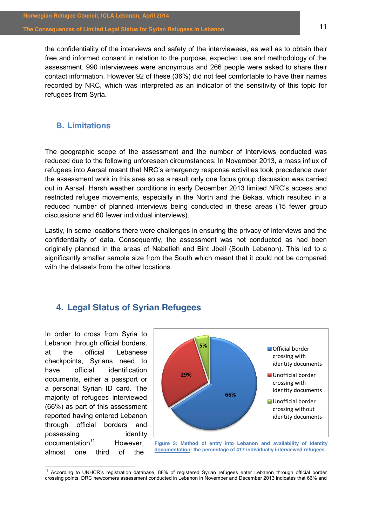the confidentiality of the interviews and safety of the interviewees, as well as to obtain their free and informed consent in relation to the purpose, expected use and methodology of the assessment. 990 interviewees were anonymous and 266 people were asked to share their contact information. However 92 of these (36%) did not feel comfortable to have their names recorded by NRC, which was interpreted as an indicator of the sensitivity of this topic for refugees from Syria.

## <span id="page-10-0"></span>**B. Limitations**

The geographic scope of the assessment and the number of interviews conducted was reduced due to the following unforeseen circumstances: In November 2013, a mass influx of refugees into Aarsal meant that NRC's emergency response activities took precedence over the assessment work in this area so as a result only one focus group discussion was carried out in Aarsal. Harsh weather conditions in early December 2013 limited NRC's access and restricted refugee movements, especially in the North and the Bekaa, which resulted in a reduced number of planned interviews being conducted in these areas (15 fewer group discussions and 60 fewer individual interviews).

Lastly, in some locations there were challenges in ensuring the privacy of interviews and the confidentiality of data. Consequently, the assessment was not conducted as had been originally planned in the areas of Nabatieh and Bint Jbeil (South Lebanon). This led to a significantly smaller sample size from the South which meant that it could not be compared with the datasets from the other locations.

## <span id="page-10-1"></span>**4. Legal Status of Syrian Refugees**

In order to cross from Syria to Lebanon through official borders, at the official Lebanese checkpoints, Syrians need to have official identification documents, either a passport or a personal Syrian ID card. The majority of refugees interviewed (66%) as part of this assessment reported having entered Lebanon through official borders and possessing identity  $d$ ocumentation $11$ . However, almost one third of the



**documentation: the percentage of 417 individually interviewed refugees.** 

<sup>&</sup>lt;sup>11</sup> According to UNHCR's registration database, 88% of registered Syrian refugees enter Lebanon through official border crossing points. DRC newcomers assessment conducted in Lebanon in November and December 2013 indicates that 66% and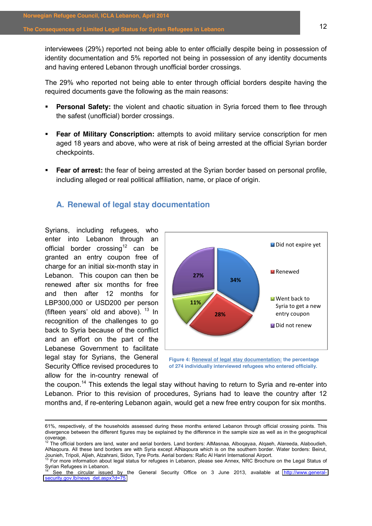interviewees (29%) reported not being able to enter officially despite being in possession of identity documentation and 5% reported not being in possession of any identity documents and having entered Lebanon through unofficial border crossings.

The 29% who reported not being able to enter through official borders despite having the required documents gave the following as the main reasons:

- **Personal Safety:** the violent and chaotic situation in Syria forced them to flee through the safest (unofficial) border crossings.
- **Fear of Military Conscription:** attempts to avoid military service conscription for men aged 18 years and above, who were at risk of being arrested at the official Syrian border checkpoints.
- **Fear of arrest:** the fear of being arrested at the Syrian border based on personal profile, including alleged or real political affiliation, name, or place of origin.

## <span id="page-11-0"></span>**A. Renewal of legal stay documentation**

Syrians, including refugees, who enter into Lebanon through an official border crossing<sup>12</sup> can be granted an entry coupon free of charge for an initial six-month stay in Lebanon. This coupon can then be renewed after six months for free and then after 12 months for LBP300,000 or USD200 per person (fifteen vears' old and above).  $13 \text{ In}$ recognition of the challenges to go back to Syria because of the conflict and an effort on the part of the Lebanese Government to facilitate legal stay for Syrians, the General Security Office revised procedures to allow for the in-country renewal of



**of 274 individually interviewed refugees who entered officially.**

the coupon.<sup>14</sup> This extends the legal stay without having to return to Syria and re-enter into Lebanon. Prior to this revision of procedures, Syrians had to leave the country after 12 months and, if re-entering Lebanon again, would get a new free entry coupon for six months.

<sup>!!!!!!!!!!!!!!!!!!!!!!!!!!!!!!!!!!!!!!!!!!!!!!!!!!!!!!!!!!!!!!!!!!!!!!!!!!!!!!!!!!!!!!!!!!!!!!!!!!!!!!!!!!!!!!!!!!!!!!!!!!!!!!!!!!!!!!!!!!!!!!!!!!!!!!!!!!!!!!!!!!!!!!!!!!!!!!!!!!!!</sup> 61%, respectively, of the households assessed during these months entered Lebanon through official crossing points. This divergence between the different figures may be explained by the difference in the sample size as well as in the geographical coverage.<br><sup>12</sup> The official borders are land, water and aerial borders. Land borders: AlMasnaa, Alboqayaa, Alqaeh, Alareeda, Alaboudieh,

AlNaqoura. All these land borders are with Syria except AlNaqoura which is on the southern border. Water borders: Beirut,

Jounieh, Tripoli, Aljieh, Alzahrani, Sidon, Tyre Ports. Aerial borders: Rafic Al Hariri International Airport.<br><sup>13</sup> For more information about legal status for refugees in Lebanon, please see Annex, NRC Brochure on the Leg

See the circular issued by the General Security Office on 3 June 2013, available at [http://www.general](http://www.general-security.gov.lb/news_det.aspx?d=75)[security.gov.lb/news\\_det.aspx?d=75](http://www.general-security.gov.lb/news_det.aspx?d=75)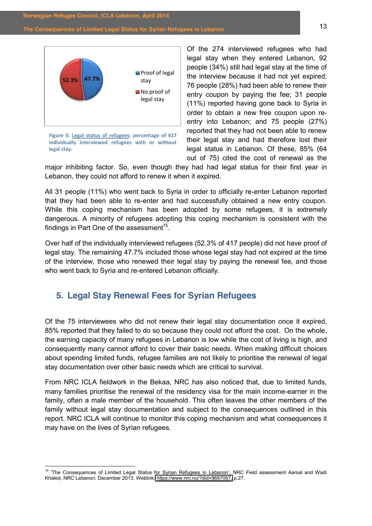

**Figure 5: Legal status of refugees: percentage of 417** individually interviewed refugees with or without legal stay.

Of the 274 interviewed refugees who had legal stay when they entered Lebanon, 92 people (34%) still had legal stay at the time of the interview because it had not yet expired; 76 people (28%) had been able to renew their entry coupon by paying the fee; 31 people (11%) reported having gone back to Syria in order to obtain a new free coupon upon reentry into Lebanon; and 75 people (27%) reported that they had not been able to renew their legal stay and had therefore lost their legal status in Lebanon. Of these, 85% (64 out of 75) cited the cost of renewal as the

major inhibiting factor. So, even though they had had legal status for their first year in Lebanon, they could not afford to renew it when it expired.

All 31 people (11%) who went back to Syria in order to officially re-enter Lebanon reported that they had been able to re-enter and had successfully obtained a new entry coupon. While this coping mechanism has been adopted by some refugees, it is extremely dangerous. A minority of refugees adopting this coping mechanism is consistent with the findings in Part One of the assessment<sup>15</sup>.

Over half of the individually interviewed refugees (52.3% of 417 people) did not have proof of legal stay. The remaining 47.7% included those whose legal stay had not expired at the time of the interview, those who renewed their legal stay by paying the renewal fee, and those who went back to Syria and re-entered Lebanon officially.

## <span id="page-12-0"></span>**5. Legal Stay Renewal Fees for Syrian Refugees**

Of the 75 interviewees who did not renew their legal stay documentation once it expired, 85% reported that they failed to do so because they could not afford the cost. On the whole, the earning capacity of many refugees in Lebanon is low while the cost of living is high, and consequently many cannot afford to cover their basic needs. When making difficult choices about spending limited funds, refugee families are not likely to prioritise the renewal of legal stay documentation over other basic needs which are critical to survival.

From NRC ICLA fieldwork in the Bekaa, NRC has also noticed that, due to limited funds, many families prioritise the renewal of the residency visa for the main income-earner in the family, often a male member of the household. This often leaves the other members of the family without legal stay documentation and subject to the consequences outlined in this report. NRC ICLA will continue to monitor this coping mechanism and what consequences it may have on the lives of Syrian refugees.

<sup>&</sup>lt;sup>15</sup> 'The Consequences of Limited Legal Status for Syrian Refugees in Lebanon', NRC Field assessment Aarsal and Wadi Khaled, NRC Lebanon, December 2013. Weblink: [https://www.nrc.no/?did=9687067,](https://www.nrc.no/?did=9687067) p.27.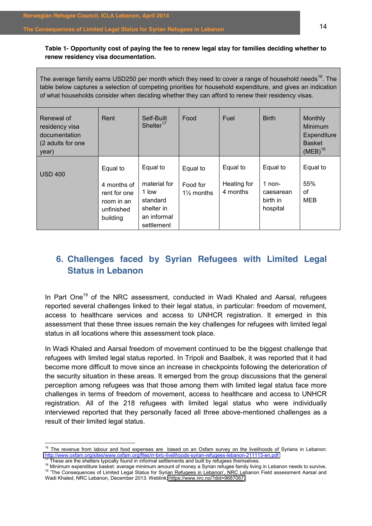## **Table 1- Opportunity cost of paying the fee to renew legal stay for families deciding whether to renew residency visa documentation.**

| The average family earns USD250 per month which they need to cover a range of household needs <sup>16</sup> . The |
|-------------------------------------------------------------------------------------------------------------------|
| table below captures a selection of competing priorities for household expenditure, and gives an indication       |
| of what households consider when deciding whether they can afford to renew their residency visas.                 |
|                                                                                                                   |

| Renewal of<br>residency visa<br>documentation<br>(2 adults for one<br>vear) | Rent                                                                            | Self-Built<br>Shelter $17$                                                               | Food                                          | Fuel                                | <b>Birth</b>                                              | Monthly<br>Minimum<br>Expenditure<br><b>Basket</b><br>$(MEB)^{18}$ |
|-----------------------------------------------------------------------------|---------------------------------------------------------------------------------|------------------------------------------------------------------------------------------|-----------------------------------------------|-------------------------------------|-----------------------------------------------------------|--------------------------------------------------------------------|
| <b>USD 400</b>                                                              | Equal to<br>4 months of<br>rent for one<br>room in an<br>unfinished<br>building | Equal to<br>material for<br>1 low<br>standard<br>shelter in<br>an informal<br>settlement | Equal to<br>Food for<br>$1\frac{1}{2}$ months | Equal to<br>Heating for<br>4 months | Equal to<br>$1$ non-<br>caesarean<br>birth in<br>hospital | Equal to<br>55%<br>οf<br><b>MEB</b>                                |

## <span id="page-13-0"></span>**6. Challenges faced by Syrian Refugees with Limited Legal Status in Lebanon**

In Part One<sup>19</sup> of the NRC assessment, conducted in Wadi Khaled and Aarsal, refugees reported several challenges linked to their legal status, in particular: freedom of movement, access to healthcare services and access to UNHCR registration. It emerged in this assessment that these three issues remain the key challenges for refugees with limited legal status in all locations where this assessment took place.

In Wadi Khaled and Aarsal freedom of movement continued to be the biggest challenge that refugees with limited legal status reported. In Tripoli and Baalbek, it was reported that it had become more difficult to move since an increase in checkpoints following the deterioration of the security situation in these areas. It emerged from the group discussions that the general perception among refugees was that those among them with limited legal status face more challenges in terms of freedom of movement, access to healthcare and access to UNHCR registration. All of the 218 refugees with limited legal status who were individually interviewed reported that they personally faced all three above-mentioned challenges as a result of their limited legal status.

<sup>&</sup>lt;sup>16</sup> The revenue from labour and food expenses are based on an Oxfam survey on the livelihoods of Syrians in Lebanon:  $\frac{http://www.oxfam.org/sites/www.oxfam.org/files/rr-bric-livelhoods-syrian-refugees-lebanon-211113-en.pdf$ 

 $^{77}$  These are the shelters typically found in informal settlements and built by refugees themselves.<br><sup>18</sup> Minimum expenditure basket: average minimum amount of money a Syrian refugee family living in Lebanon needs to s Wadi Khaled, NRC Lebanon, December 2013. Weblink[: https://www.nrc.no/?did=9687067.](https://www.nrc.no/?did=9687067)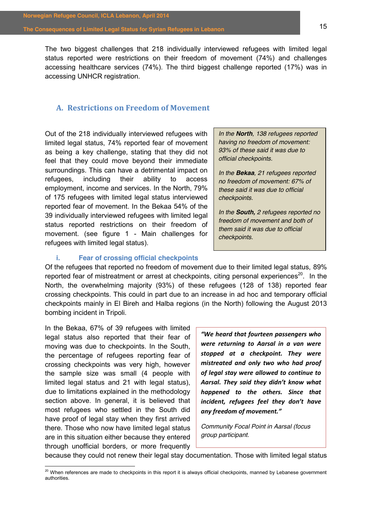The two biggest challenges that 218 individually interviewed refugees with limited legal status reported were restrictions on their freedom of movement (74%) and challenges accessing healthcare services (74%). The third biggest challenge reported (17%) was in accessing UNHCR registration.

## <span id="page-14-0"></span>**A. Restrictions,on,Freedom,of,Movement**

Out of the 218 individually interviewed refugees with limited legal status, 74% reported fear of movement as being a key challenge, stating that they did not feel that they could move beyond their immediate surroundings. This can have a detrimental impact on refugees, including their ability to access employment, income and services. In the North, 79% of 175 refugees with limited legal status interviewed reported fear of movement. In the Bekaa 54% of the 39 individually interviewed refugees with limited legal status reported restrictions on their freedom of movement. (see figure 1 - Main challenges for refugees with limited legal status).

*In the North, 138 refugees reported having no freedom of movement: 93% of these said it was due to official checkpoints.* 

*In the Bekaa, 21 refugees reported no freedom of movement: 67% of these said it was due to official checkpoints.* 

*In the South, 2 refugees reported no freedom of movement and both of them said it was due to official checkpoints.* 

## **i. Fear of crossing official checkpoints**

<span id="page-14-1"></span>Of the refugees that reported no freedom of movement due to their limited legal status, 89% reported fear of mistreatment or arrest at checkpoints, citing personal experiences<sup>20</sup>. In the North, the overwhelming majority (93%) of these refugees (128 of 138) reported fear crossing checkpoints. This could in part due to an increase in ad hoc and temporary official checkpoints mainly in El Bireh and Halba regions (in the North) following the August 2013 bombing incident in Tripoli.

In the Bekaa, 67% of 39 refugees with limited legal status also reported that their fear of moving was due to checkpoints. In the South, the percentage of refugees reporting fear of crossing checkpoints was very high, however the sample size was small (4 people with limited legal status and 21 with legal status), due to limitations explained in the methodology section above. In general, it is believed that most refugees who settled in the South did have proof of legal stay when they first arrived there. Those who now have limited legal status are in this situation either because they entered through unofficial borders, or more frequently

**"We heard that fourteen passengers who** *were" returning" to" Aarsal" in" a" van" were" stopped" at" a" checkpoint." They" were" mistreated" and" only" two" who" had" proof" of"legal"stay"were"allowed"to"continue"to"* Aarsal. They said they didn't know what *happened" to" the" others." Since" that" incident, refugees feel they don't have* any freedom of movement."

*Community Focal Point in Aarsal (focus group participant.* 

because they could not renew their legal stay documentation. Those with limited legal status

<sup>&</sup>lt;sup>20</sup> When references are made to checkpoints in this report it is always official checkpoints, manned by Lebanese government authorities.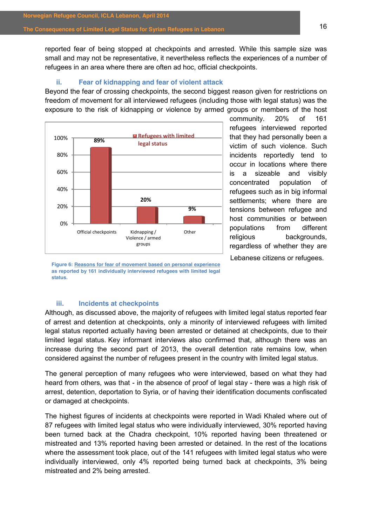reported fear of being stopped at checkpoints and arrested. While this sample size was small and may not be representative, it nevertheless reflects the experiences of a number of refugees in an area where there are often ad hoc, official checkpoints.

### **ii. Fear of kidnapping and fear of violent attack**

<span id="page-15-0"></span>Beyond the fear of crossing checkpoints, the second biggest reason given for restrictions on freedom of movement for all interviewed refugees (including those with legal status) was the exposure to the risk of kidnapping or violence by armed groups or members of the host



community. 20% of 161 refugees interviewed reported that they had personally been a victim of such violence. Such incidents reportedly tend to occur in locations where there is a sizeable and visibly concentrated population of refugees such as in big informal settlements; where there are tensions between refugee and host communities or between populations from different religious backgrounds, regardless of whether they are Lebanese citizens or refugees.

**Figure 6: Reasons for fear of movement based on personal experience as reported by 161 individually interviewed refugees with limited legal status.**

## **iii. Incidents at checkpoints**

<span id="page-15-1"></span>Although, as discussed above, the majority of refugees with limited legal status reported fear of arrest and detention at checkpoints, only a minority of interviewed refugees with limited legal status reported actually having been arrested or detained at checkpoints, due to their limited legal status. Key informant interviews also confirmed that, although there was an increase during the second part of 2013, the overall detention rate remains low, when considered against the number of refugees present in the country with limited legal status.

The general perception of many refugees who were interviewed, based on what they had heard from others, was that - in the absence of proof of legal stay - there was a high risk of arrest, detention, deportation to Syria, or of having their identification documents confiscated or damaged at checkpoints.

The highest figures of incidents at checkpoints were reported in Wadi Khaled where out of 87 refugees with limited legal status who were individually interviewed, 30% reported having been turned back at the Chadra checkpoint, 10% reported having been threatened or mistreated and 13% reported having been arrested or detained. In the rest of the locations where the assessment took place, out of the 141 refugees with limited legal status who were individually interviewed, only 4% reported being turned back at checkpoints, 3% being mistreated and 2% being arrested.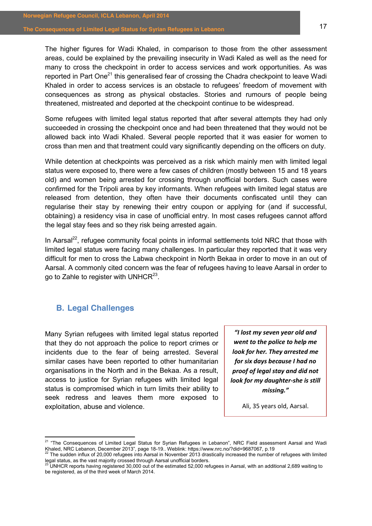The higher figures for Wadi Khaled, in comparison to those from the other assessment areas, could be explained by the prevailing insecurity in Wadi Kaled as well as the need for many to cross the checkpoint in order to access services and work opportunities. As was reported in Part One<sup>21</sup> this generalised fear of crossing the Chadra checkpoint to leave Wadi Khaled in order to access services is an obstacle to refugees' freedom of movement with consequences as strong as physical obstacles. Stories and rumours of people being threatened, mistreated and deported at the checkpoint continue to be widespread.

Some refugees with limited legal status reported that after several attempts they had only succeeded in crossing the checkpoint once and had been threatened that they would not be allowed back into Wadi Khaled. Several people reported that it was easier for women to cross than men and that treatment could vary significantly depending on the officers on duty.

While detention at checkpoints was perceived as a risk which mainly men with limited legal status were exposed to, there were a few cases of children (mostly between 15 and 18 years old) and women being arrested for crossing through unofficial borders. Such cases were confirmed for the Tripoli area by key informants. When refugees with limited legal status are released from detention, they often have their documents confiscated until they can regularise their stay by renewing their entry coupon or applying for (and if successful, obtaining) a residency visa in case of unofficial entry. In most cases refugees cannot afford the legal stay fees and so they risk being arrested again.

In Aarsal<sup>22</sup>, refugee community focal points in informal settlements told NRC that those with limited legal status were facing many challenges. In particular they reported that it was very difficult for men to cross the Labwa checkpoint in North Bekaa in order to move in an out of Aarsal. A commonly cited concern was the fear of refugees having to leave Aarsal in order to go to Zahle to register with UNHCR<sup>23</sup>.

## <span id="page-16-0"></span>**B. Legal Challenges**

Many Syrian refugees with limited legal status reported that they do not approach the police to report crimes or incidents due to the fear of being arrested. Several similar cases have been reported to other humanitarian organisations in the North and in the Bekaa. As a result, access to justice for Syrian refugees with limited legal status is compromised which in turn limits their ability to seek redress and leaves them more exposed to exploitation, abuse and violence.

*͞/ůŽƐƚŵLJseven year"old"and"* **went to the police to help me** *look for her. They arrested me for"six days"because"I"had"no" proof"of"legal"stay and"did"not" look for my daughter-she is still missing.͟*

Ali, 35 years old, Aarsal.

<sup>&</sup>lt;sup>21</sup> "The Consequences of Limited Legal Status for Syrian Refugees in Lebanon", NRC Field assessment Aarsal and Wadi Khaled, NRC Lebanon, December 2013", page 18-19.. Weblink: https://www.nrc.no/?did=9687067, p.19<br><sup>22</sup> The sudden influx of 20,000 refugees into Aarsal in November 2013 drastically increased the number of refugees with limi

legal status, as the vast majority crossed through Aarsal unofficial borders.<br><sup>23</sup> UNHCR reports having registered 30,000 out of the estimated 52,000 refugees in Aarsal, with an additional 2,689 waiting to

be registered, as of the third week of March 2014.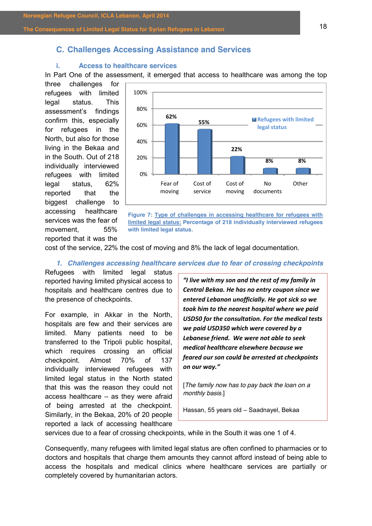## <span id="page-17-0"></span>**C. Challenges Accessing Assistance and Services**

## <span id="page-17-1"></span>**i. Access to healthcare services**

In Part One of the assessment, it emerged that access to healthcare was among the top

three challenges for refugees with limited legal status. This assessment's findings confirm this, especially for refugees in the North, but also for those living in the Bekaa and in the South. Out of 218 individually interviewed refugees with limited legal status, 62% reported that the biggest challenge to accessing healthcare services was the fear of movement, 55% reported that it was the



**Figure 7: Type of challenges in accessing healthcare for refugees with limited legal status: Percentage of 218 individually interviewed refugees with limited legal status.** 

cost of the service, 22% the cost of moving and 8% the lack of legal documentation.

*1. Challenges accessing healthcare services due to fear of crossing checkpoints*

Refugees with limited legal status reported having limited physical access to hospitals and healthcare centres due to the presence of checkpoints.

For example, in Akkar in the North, hospitals are few and their services are limited. Many patients need to be transferred to the Tripoli public hospital, which requires crossing an official checkpoint. Almost 70% of 137 individually interviewed refugees with limited legal status in the North stated that this was the reason they could not access healthcare  $-$  as they were afraid of being arrested at the checkpoint. Similarly, in the Bekaa, 20% of 20 people reported a lack of accessing healthcare

*"I live with my son and the rest of my family in* Central Bekaa. He has no entry coupon since we *entered"Lebanon"unofficially."He"got"sick"so"we"* took him to the nearest hospital where we paid USD50 for the consultation. For the medical tests we paid USD350 which were covered by a Lebanese friend. We were not able to seek *medical"healthcare"elsewhere"because"we" feared"our"son"could"be"arrested"at"checkpoints"* on our way."

[*The family now has to pay back the loan on a monthly basis.*]

Hassan, 55 years old - Saadnayel, Bekaa

services due to a fear of crossing checkpoints, while in the South it was one 1 of 4.

Consequently, many refugees with limited legal status are often confined to pharmacies or to doctors and hospitals that charge them amounts they cannot afford instead of being able to access the hospitals and medical clinics where healthcare services are partially or completely covered by humanitarian actors.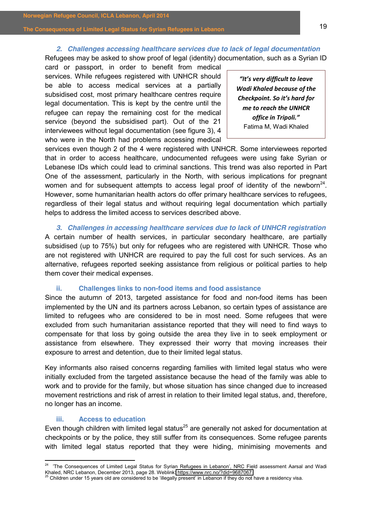## *2. Challenges accessing healthcare services due to lack of legal documentation*

Refugees may be asked to show proof of legal (identity) documentation, such as a Syrian ID

card or passport, in order to benefit from medical services. While refugees registered with UNHCR should be able to access medical services at a partially subsidised cost, most primary healthcare centres require legal documentation. This is kept by the centre until the refugee can repay the remaining cost for the medical service (beyond the subsidised part). Out of the 21 interviewees without legal documentation (see figure 3), 4 who were in the North had problems accessing medical

*͞/ƚ͛ƐǀĞƌLJĚŝĨĨŝĐƵůƚƚŽůĞĂǀĞ* **Wadi Khaled because of the** *Checkpoint. So it's hard for me to reach the UNHCR* office in Tripoli." Fatima M, Wadi Khaled

services even though 2 of the 4 were registered with UNHCR. Some interviewees reported that in order to access healthcare, undocumented refugees were using fake Syrian or Lebanese IDs which could lead to criminal sanctions. This trend was also reported in Part One of the assessment, particularly in the North, with serious implications for pregnant women and for subsequent attempts to access legal proof of identity of the newborn<sup>24</sup>. However, some humanitarian health actors do offer primary healthcare services to refugees, regardless of their legal status and without requiring legal documentation which partially helps to address the limited access to services described above.

*3. Challenges in accessing healthcare services due to lack of UNHCR registration* A certain number of health services, in particular secondary healthcare, are partially subsidised (up to 75%) but only for refugees who are registered with UNHCR. Those who are not registered with UNHCR are required to pay the full cost for such services. As an alternative, refugees reported seeking assistance from religious or political parties to help them cover their medical expenses.

#### **ii. Challenges links to non-food items and food assistance**

<span id="page-18-0"></span>Since the autumn of 2013, targeted assistance for food and non-food items has been implemented by the UN and its partners across Lebanon, so certain types of assistance are limited to refugees who are considered to be in most need. Some refugees that were excluded from such humanitarian assistance reported that they will need to find ways to compensate for that loss by going outside the area they live in to seek employment or assistance from elsewhere. They expressed their worry that moving increases their exposure to arrest and detention, due to their limited legal status.

Key informants also raised concerns regarding families with limited legal status who were initially excluded from the targeted assistance because the head of the family was able to work and to provide for the family, but whose situation has since changed due to increased movement restrictions and risk of arrest in relation to their limited legal status, and, therefore, no longer has an income.

### **iii. Access to education**

<span id="page-18-1"></span>Even though children with limited legal status<sup>25</sup> are generally not asked for documentation at checkpoints or by the police, they still suffer from its consequences. Some refugee parents with limited legal status reported that they were hiding, minimising movements and

<sup>&</sup>lt;sup>24</sup> 'The Consequences of Limited Legal Status for Syrian Refugees in Lebanon', NRC Field assessment Aarsal and Wadi Khaled, NRC Lebanon, December 2013, page 28. Weblink:<https://www.nrc.no/?did=9687067><br><sup>25</sup> Children under 15 years old are considered to be 'illegally present' in Lebanon if they do not have a residency visa.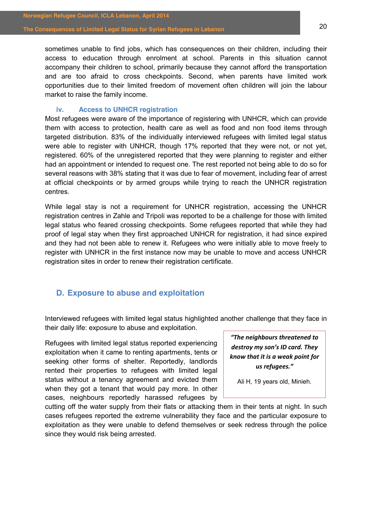sometimes unable to find jobs, which has consequences on their children, including their access to education through enrolment at school. Parents in this situation cannot accompany their children to school, primarily because they cannot afford the transportation and are too afraid to cross checkpoints. Second, when parents have limited work opportunities due to their limited freedom of movement often children will join the labour market to raise the family income.

## **iv. Access to UNHCR registration**

<span id="page-19-0"></span>Most refugees were aware of the importance of registering with UNHCR, which can provide them with access to protection, health care as well as food and non food items through targeted distribution. 83% of the individually interviewed refugees with limited legal status were able to register with UNHCR, though 17% reported that they were not, or not yet, registered. 60% of the unregistered reported that they were planning to register and either had an appointment or intended to request one. The rest reported not being able to do so for several reasons with 38% stating that it was due to fear of movement, including fear of arrest at official checkpoints or by armed groups while trying to reach the UNHCR registration centres.

While legal stay is not a requirement for UNHCR registration, accessing the UNHCR registration centres in Zahle and Tripoli was reported to be a challenge for those with limited legal status who feared crossing checkpoints. Some refugees reported that while they had proof of legal stay when they first approached UNHCR for registration, it had since expired and they had not been able to renew it. Refugees who were initially able to move freely to register with UNHCR in the first instance now may be unable to move and access UNHCR registration sites in order to renew their registration certificate.

## <span id="page-19-1"></span>**D. Exposure to abuse and exploitation**

Interviewed refugees with limited legal status highlighted another challenge that they face in their daily life: exposure to abuse and exploitation.

Refugees with limited legal status reported experiencing exploitation when it came to renting apartments, tents or seeking other forms of shelter. Reportedly, landlords rented their properties to refugees with limited legal status without a tenancy agreement and evicted them when they got a tenant that would pay more. In other cases, neighbours reportedly harassed refugees by

*"The neighbours threatened to destroy my son's ID card. They know that it is a weak point for* us refugees."

Ali H, 19 years old, Minieh.

cutting off the water supply from their flats or attacking them in their tents at night. In such cases refugees reported the extreme vulnerability they face and the particular exposure to exploitation as they were unable to defend themselves or seek redress through the police since they would risk being arrested.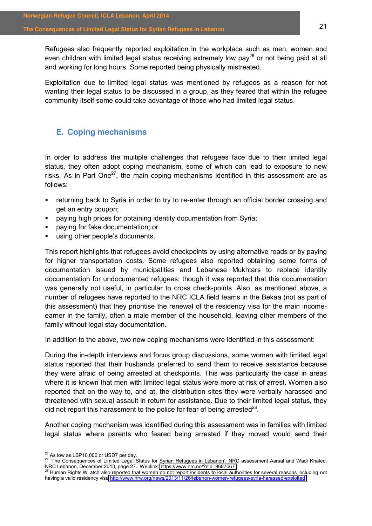Refugees also frequently reported exploitation in the workplace such as men, women and even children with limited legal status receiving extremely low  $pay^{26}$  or not being paid at all and working for long hours. Some reported being physically mistreated.

Exploitation due to limited legal status was mentioned by refugees as a reason for not wanting their legal status to be discussed in a group, as they feared that within the refugee community itself some could take advantage of those who had limited legal status.

## <span id="page-20-0"></span>**E. Coping mechanisms**

In order to address the multiple challenges that refugees face due to their limited legal status, they often adopt coping mechanism, some of which can lead to exposure to new risks. As in Part One<sup>27</sup>, the main coping mechanisms identified in this assessment are as follows:

- returning back to Syria in order to try to re-enter through an official border crossing and get an entry coupon;
- paying high prices for obtaining identity documentation from Syria;
- paying for fake documentation; or
- using other people's documents.

This report highlights that refugees avoid checkpoints by using alternative roads or by paying for higher transportation costs. Some refugees also reported obtaining some forms of documentation issued by municipalities and Lebanese Mukhtars to replace identity documentation for undocumented refugees; though it was reported that this documentation was generally not useful, in particular to cross check-points. Also, as mentioned above, a number of refugees have reported to the NRC ICLA field teams in the Bekaa (not as part of this assessment) that they prioritise the renewal of the residency visa for the main incomeearner in the family, often a male member of the household, leaving other members of the family without legal stay documentation.

In addition to the above, two new coping mechanisms were identified in this assessment:

During the in-depth interviews and focus group discussions, some women with limited legal status reported that their husbands preferred to send them to receive assistance because they were afraid of being arrested at checkpoints. This was particularly the case in areas where it is known that men with limited legal status were more at risk of arrest. Women also reported that on the way to, and at, the distribution sites they were verbally harassed and threatened with sexual assault in return for assistance. Due to their limited legal status, they did not report this harassment to the police for fear of being arrested<sup>28</sup>.

Another coping mechanism was identified during this assessment was in families with limited legal status where parents who feared being arrested if they moved would send their

<sup>&</sup>lt;sup>26</sup> As low as LBP10,000 or USD7 per day.<br><sup>27</sup> 'The Consequences of Limited Legal Status for Syrian Refugees in Lebanon', NRC assessment Aarsal and Wadi Khaled, NRC Lebanon, December 2013, page 27. Weblink:<https://www.nrc.no/?did=9687067><br><sup>28</sup> Human Rights W atch also reported that women do not report incidents to local authorities for several reasons including not

having a valid residency visa <http://www.hrw.org/news/2013/11/26/lebanon-women-refugees-syria-harassed-exploited>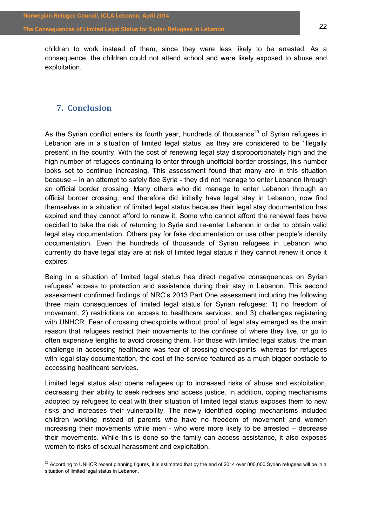children to work instead of them, since they were less likely to be arrested. As a consequence, the children could not attend school and were likely exposed to abuse and exploitation.

## <span id="page-21-0"></span>**7. Conclusion**

As the Syrian conflict enters its fourth year, hundreds of thousands<sup>29</sup> of Syrian refugees in Lebanon are in a situation of limited legal status, as they are considered to be 'illegally present' in the country. With the cost of renewing legal stay disproportionately high and the high number of refugees continuing to enter through unofficial border crossings, this number looks set to continue increasing. This assessment found that many are in this situation because – in an attempt to safely flee Syria - they did not manage to enter Lebanon through an official border crossing. Many others who did manage to enter Lebanon through an official border crossing, and therefore did initially have legal stay in Lebanon, now find themselves in a situation of limited legal status because their legal stay documentation has expired and they cannot afford to renew it. Some who cannot afford the renewal fees have decided to take the risk of returning to Syria and re-enter Lebanon in order to obtain valid legal stay documentation. Others pay for fake documentation or use other people's identity documentation. Even the hundreds of thousands of Syrian refugees in Lebanon who currently do have legal stay are at risk of limited legal status if they cannot renew it once it expires.

Being in a situation of limited legal status has direct negative consequences on Syrian refugees' access to protection and assistance during their stay in Lebanon. This second assessment confirmed findings of NRC's 2013 Part One assessment including the following three main consequences of limited legal status for Syrian refugees: 1) no freedom of movement, 2) restrictions on access to healthcare services, and 3) challenges registering with UNHCR. Fear of crossing checkpoints without proof of legal stay emerged as the main reason that refugees restrict their movements to the confines of where they live, or go to often expensive lengths to avoid crossing them. For those with limited legal status, the main challenge in accessing healthcare was fear of crossing checkpoints, whereas for refugees with legal stay documentation, the cost of the service featured as a much bigger obstacle to accessing healthcare services.

Limited legal status also opens refugees up to increased risks of abuse and exploitation, decreasing their ability to seek redress and access justice. In addition, coping mechanisms adopted by refugees to deal with their situation of limited legal status exposes them to new risks and increases their vulnerability. The newly identified coping mechanisms included children working instead of parents who have no freedom of movement and women increasing their movements while men - who were more likely to be arrested  $-$  decrease their movements. While this is done so the family can access assistance, it also exposes women to risks of sexual harassment and exploitation.

<sup>&</sup>lt;sup>29</sup> According to UNHCR recent planning figures, it is estimated that by the end of 2014 over 800,000 Syrian refugees will be in a situation of limited legal status in Lebanon.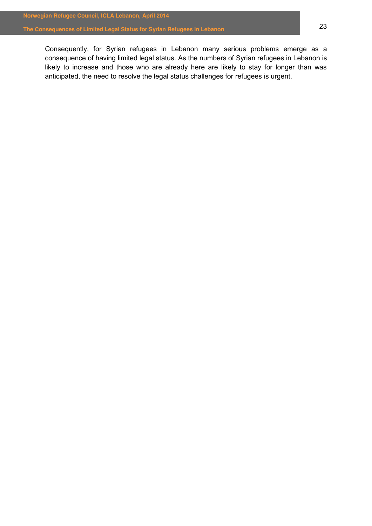Consequently, for Syrian refugees in Lebanon many serious problems emerge as a consequence of having limited legal status. As the numbers of Syrian refugees in Lebanon is likely to increase and those who are already here are likely to stay for longer than was anticipated, the need to resolve the legal status challenges for refugees is urgent.